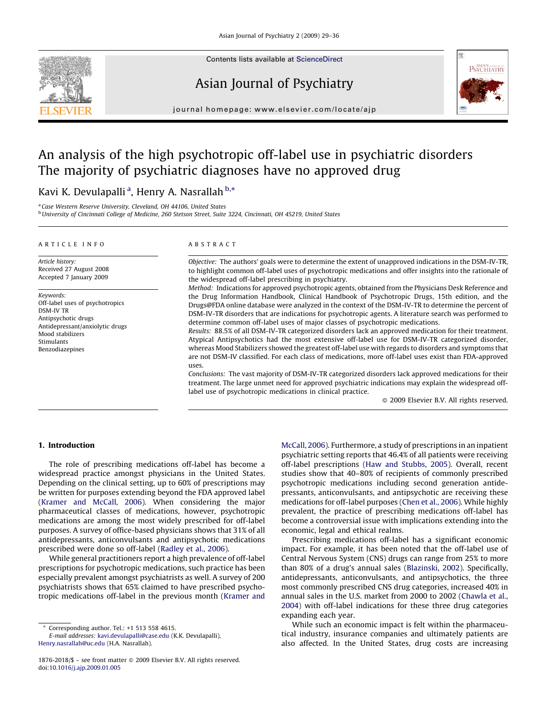

Contents lists available at [ScienceDirect](http://www.sciencedirect.com/science/journal/0926860X)

## Asian Journal of Psychiatry



journal homepage: www.elsevier.com/locate/ajp

# An analysis of the high psychotropic off-label use in psychiatric disorders The majority of psychiatric diagnoses have no approved drug

### Kavi K. Devulapalli <sup>a</sup>, Henry A. Nasrallah <sup>b,</sup>\*

<sup>a</sup> Case Western Reserve University, Cleveland, OH 44106, United States

<sup>b</sup> University of Cincinnati College of Medicine, 260 Stetson Street, Suite 3224, Cincinnati, OH 45219, United States

#### ARTICLE INFO

Article history: Received 27 August 2008 Accepted 7 January 2009

Keywords: Off-label uses of psychotropics DSM-IV TR Antipsychotic drugs Antidepressant/anxiolytic drugs Mood stabilizers Stimulants Benzodiazenines

#### ABSTRACT

Objective: The authors' goals were to determine the extent of unapproved indications in the DSM-IV-TR, to highlight common off-label uses of psychotropic medications and offer insights into the rationale of the widespread off-label prescribing in psychiatry.

Method: Indications for approved psychotropic agents, obtained from the Physicians Desk Reference and the Drug Information Handbook, Clinical Handbook of Psychotropic Drugs, 15th edition, and the Drugs@FDA online database were analyzed in the context of the DSM-IV-TR to determine the percent of DSM-IV-TR disorders that are indications for psychotropic agents. A literature search was performed to determine common off-label uses of major classes of psychotropic medications.

Results: 88.5% of all DSM-IV-TR categorized disorders lack an approved medication for their treatment. Atypical Antipsychotics had the most extensive off-label use for DSM-IV-TR categorized disorder, whereas Mood Stabilizers showed the greatest off-label use with regards to disorders and symptoms that are not DSM-IV classified. For each class of medications, more off-label uses exist than FDA-approved uses.

Conclusions: The vast majority of DSM-IV-TR categorized disorders lack approved medications for their treatment. The large unmet need for approved psychiatric indications may explain the widespread offlabel use of psychotropic medications in clinical practice.

 $\odot$  2009 Elsevier B.V. All rights reserved.

#### 1. Introduction

The role of prescribing medications off-label has become a widespread practice amongst physicians in the United States. Depending on the clinical setting, up to 60% of prescriptions may be written for purposes extending beyond the FDA approved label ([Kramer and McCall, 2006](#page--1-0)). When considering the major pharmaceutical classes of medications, however, psychotropic medications are among the most widely prescribed for off-label purposes. A survey of office-based physicians shows that 31% of all antidepressants, anticonvulsants and antipsychotic medications prescribed were done so off-label ([Radley et al., 2006](#page--1-0)).

While general practitioners report a high prevalence of off-label prescriptions for psychotropic medications, such practice has been especially prevalent amongst psychiatrists as well. A survey of 200 psychiatrists shows that 65% claimed to have prescribed psychotropic medications off-label in the previous month ([Kramer and](#page--1-0)

Corresponding author. Tel.:  $+1$  513 558 4615.

E-mail addresses: [kavi.devulapalli@case.edu](mailto:kavi.devulapalli@case.edu) (K.K. Devulapalli), [Henry.nasrallah@uc.edu](mailto:Henry.nasrallah@uc.edu) (H.A. Nasrallah).

[McCall, 2006](#page--1-0)). Furthermore, a study of prescriptions in an inpatient psychiatric setting reports that 46.4% of all patients were receiving off-label prescriptions ([Haw and Stubbs, 2005\)](#page--1-0). Overall, recent studies show that 40–80% of recipients of commonly prescribed psychotropic medications including second generation antidepressants, anticonvulsants, and antipsychotic are receiving these medications for off-label purposes [\(Chen et al., 2006](#page--1-0)). While highly prevalent, the practice of prescribing medications off-label has become a controversial issue with implications extending into the economic, legal and ethical realms.

Prescribing medications off-label has a significant economic impact. For example, it has been noted that the off-label use of Central Nervous System (CNS) drugs can range from 25% to more than 80% of a drug's annual sales ([Blazinski, 2002](#page--1-0)). Specifically, antidepressants, anticonvulsants, and antipsychotics, the three most commonly prescribed CNS drug categories, increased 40% in annual sales in the U.S. market from 2000 to 2002 [\(Chawla et al.,](#page--1-0) [2004\)](#page--1-0) with off-label indications for these three drug categories expanding each year.

While such an economic impact is felt within the pharmaceutical industry, insurance companies and ultimately patients are also affected. In the United States, drug costs are increasing

<sup>1876-2018/\$ -</sup> see front matter @ 2009 Elsevier B.V. All rights reserved. doi:[10.1016/j.ajp.2009.01.005](http://dx.doi.org/10.1016/j.ajp.2009.01.005)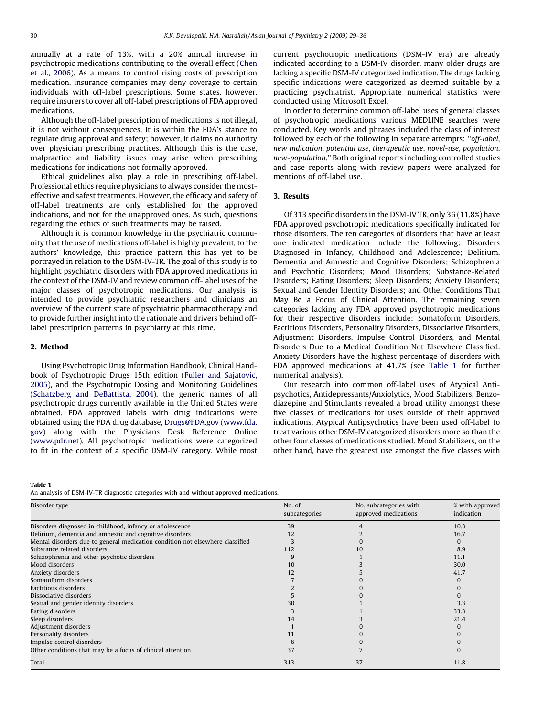annually at a rate of 13%, with a 20% annual increase in psychotropic medications contributing to the overall effect [\(Chen](#page--1-0) [et al., 2006](#page--1-0)). As a means to control rising costs of prescription medication, insurance companies may deny coverage to certain individuals with off-label prescriptions. Some states, however, require insurers to cover all off-label prescriptions of FDA approved medications.

Although the off-label prescription of medications is not illegal, it is not without consequences. It is within the FDA's stance to regulate drug approval and safety; however, it claims no authority over physician prescribing practices. Although this is the case, malpractice and liability issues may arise when prescribing medications for indications not formally approved.

Ethical guidelines also play a role in prescribing off-label. Professional ethics require physicians to always consider the mosteffective and safest treatments. However, the efficacy and safety of off-label treatments are only established for the approved indications, and not for the unapproved ones. As such, questions regarding the ethics of such treatments may be raised.

Although it is common knowledge in the psychiatric community that the use of medications off-label is highly prevalent, to the authors' knowledge, this practice pattern this has yet to be portrayed in relation to the DSM-IV-TR. The goal of this study is to highlight psychiatric disorders with FDA approved medications in the context of the DSM-IV and review common off-label uses of the major classes of psychotropic medications. Our analysis is intended to provide psychiatric researchers and clinicians an overview of the current state of psychiatric pharmacotherapy and to provide further insight into the rationale and drivers behind offlabel prescription patterns in psychiatry at this time.

#### 2. Method

Using Psychotropic Drug Information Handbook, Clinical Handbook of Psychotropic Drugs 15th edition [\(Fuller and Sajatovic,](#page--1-0) [2005\)](#page--1-0), and the Psychotropic Dosing and Monitoring Guidelines ([Schatzberg and DeBattista, 2004\)](#page--1-0), the generic names of all psychotropic drugs currently available in the United States were obtained. FDA approved labels with drug indications were obtained using the FDA drug database, [Drugs@FDA.gov](mailto:Drugs@FDA.gov) ([www.fda.](http://www.fda.gov/) [gov](http://www.fda.gov/)) along with the Physicians Desk Reference Online ([www.pdr.net\)](http://www.pdr.net/). All psychotropic medications were categorized to fit in the context of a specific DSM-IV category. While most

#### Table 1

An analysis of DSM-IV-TR diagnostic categories with and without approved medications.

Disorder type No. of the North Communication of the North Communication of the North Communication of the North Communication of the North Communication of the North Communication of the North Communication of the North Co subcategories No. subcategories with approved medications % with approved indication Disorders diagnosed in childhood, infancy or adolescence 39 39 39 39 10.3 Delirium, dementia and amnestic and cognitive disorders 12 12 12 16.7 (1992) 2 16.7 (1993) 16.7 (1993) 2 16.7 (1993) 16.7 (1993) 16.7 (1993) 16.7 (1993) 16.7 (1993) 16.7 (1993) 16.7 (1993) 16.7 (1993) 16.7 (1993) 16.7 (199 Mental disorders due to general medication condition not elsewhere classified 3 0 0 Substance related disorders and the control of the control of the control of the control of the control of the control of the control of the control of the control of the control of the control of the control of the contro Schizophrenia and other psychotic disorders and the structure of the structure of the structure of the structure of the structure of the structure of the structure of the structure of the structure of the structure of the Mood disorders 10 30.0 and 20 30.0 and 20 30.0 and 20 30.0 and 20 30.0 and 20 30.0 and 20 30.0 and 20 30.0 and 20 30.0 and 20 30.0 and 20 30.0 and 20 30.0 and 20 30.0 and 20 30.0 and 20 30.0 and 20 30.0 and 20 30.0 and 20 Anxiety disorders 12 5 41.7 Somatoform disorders and the control of the control of the control of the control of the control of the control of the control of the control of the control of the control of the control of the control of the control of th Factitious disorders 20 0 Dissociative disorders  $\begin{pmatrix} 0 & 0 \\ 0 & 0 \end{pmatrix}$ Sexual and gender identity disorders 30 3.3 Eating disorders 33.3 and 33.3 and 33.3 and 33.3 and 33.3 and 33.3 and 33.3 and 33.3 and 33.3 and 33.3 and 33.3 Sleep disorders  $21.4$ Adjustment disorders and the company of the company of the company of the company of the company of the company of the company of the company of the company of the company of the company of the company of the company of th Personality disorders 11 0 0 Impulse control disorders and the above for the control disorders of the control disorders of the conditions that may be a focus of clinical attention and the conditions of the conditions of the conditions of the condition Other conditions that may be a focus of clinical attention  $37$   $37$   $37$ Total 37  $\sim$  11.8

current psychotropic medications (DSM-IV era) are already indicated according to a DSM-IV disorder, many older drugs are lacking a specific DSM-IV categorized indication. The drugs lacking specific indications were categorized as deemed suitable by a practicing psychiatrist. Appropriate numerical statistics were conducted using Microsoft Excel.

In order to determine common off-label uses of general classes of psychotropic medications various MEDLINE searches were conducted. Key words and phrases included the class of interest followed by each of the following in separate attempts: ''off-label, new indication, potential use, therapeutic use, novel-use, population, new-population.'' Both original reports including controlled studies and case reports along with review papers were analyzed for mentions of off-label use.

#### 3. Results

Of 313 specific disorders in the DSM-IV TR, only 36 (11.8%) have FDA approved psychotropic medications specifically indicated for those disorders. The ten categories of disorders that have at least one indicated medication include the following: Disorders Diagnosed in Infancy, Childhood and Adolescence; Delirium, Dementia and Amnestic and Cognitive Disorders; Schizophrenia and Psychotic Disorders; Mood Disorders; Substance-Related Disorders; Eating Disorders; Sleep Disorders; Anxiety Disorders; Sexual and Gender Identity Disorders; and Other Conditions That May Be a Focus of Clinical Attention. The remaining seven categories lacking any FDA approved psychotropic medications for their respective disorders include: Somatoform Disorders, Factitious Disorders, Personality Disorders, Dissociative Disorders, Adjustment Disorders, Impulse Control Disorders, and Mental Disorders Due to a Medical Condition Not Elsewhere Classified. Anxiety Disorders have the highest percentage of disorders with FDA approved medications at 41.7% (see Table 1 for further numerical analysis).

Our research into common off-label uses of Atypical Antipsychotics, Antidepressants/Anxiolytics, Mood Stabilizers, Benzodiazepine and Stimulants revealed a broad utility amongst these five classes of medications for uses outside of their approved indications. Atypical Antipsychotics have been used off-label to treat various other DSM-IV categorized disorders more so than the other four classes of medications studied. Mood Stabilizers, on the other hand, have the greatest use amongst the five classes with